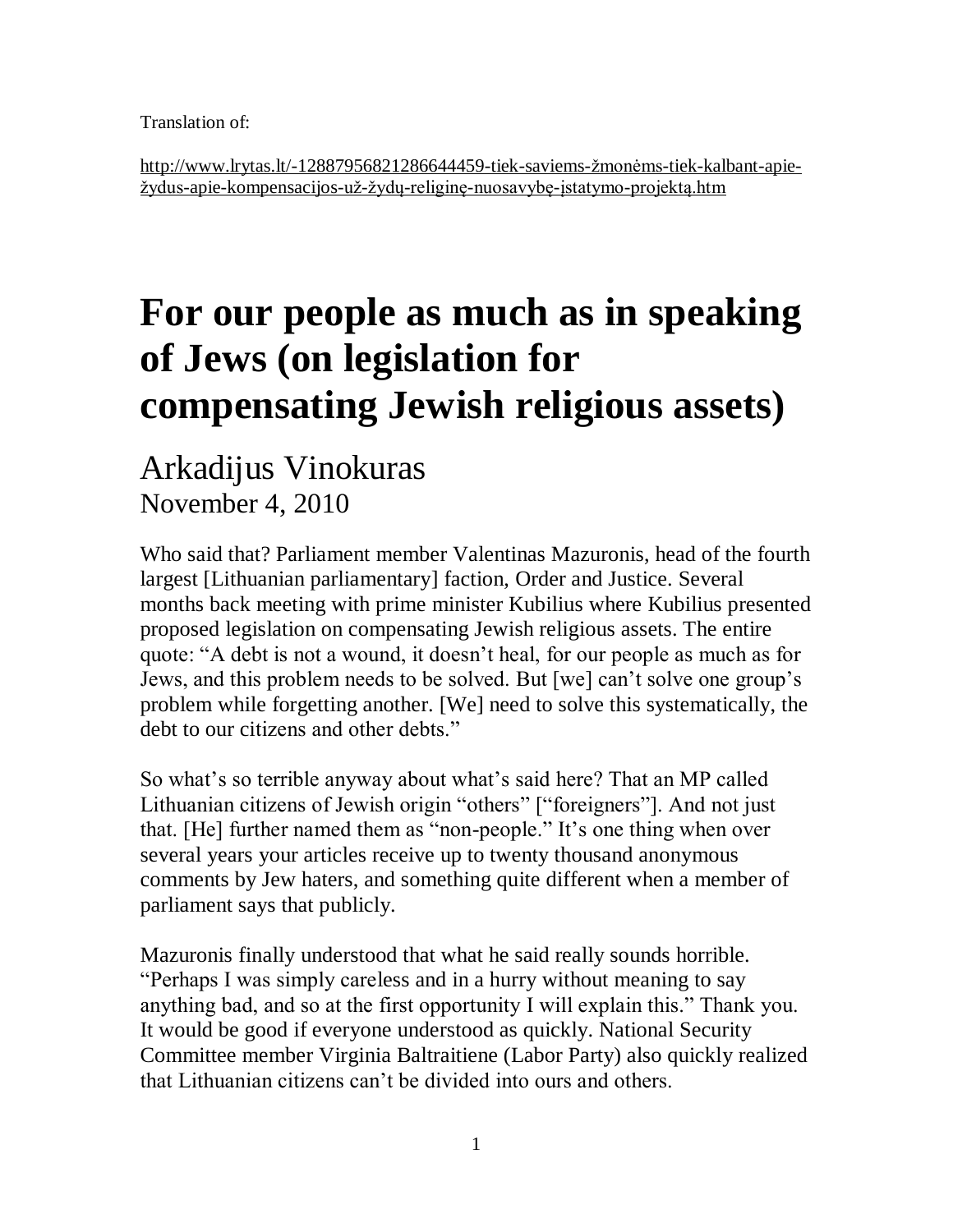Translation of:

[http://www.lrytas.lt/-12887956821286644459-tiek-saviems-žmonėms-tiek-kalbant-apie](http://www.lrytas.lt/-12887956821286644459-tiek-saviems-žmonėms-tiek-kalbant-apie-žydus-apie-kompensacijos-už-žydų-religinę-nuosavybę-įstatymo-projektą.htm)[žydus-apie-kompensacijos-už-žydų-religinę-nuosavybę-įstatymo-projektą.htm](http://www.lrytas.lt/-12887956821286644459-tiek-saviems-žmonėms-tiek-kalbant-apie-žydus-apie-kompensacijos-už-žydų-religinę-nuosavybę-įstatymo-projektą.htm)

## **For our people as much as in speaking of Jews (on legislation for compensating Jewish religious assets)**

## Arkadijus Vinokuras November 4, 2010

Who said that? Parliament member Valentinas Mazuronis, head of the fourth largest [Lithuanian parliamentary] faction, Order and Justice. Several months back meeting with prime minister Kubilius where Kubilius presented proposed legislation on compensating Jewish religious assets. The entire quote: "A debt is not a wound, it doesn't heal, for our people as much as for Jews, and this problem needs to be solved. But [we] can't solve one group's problem while forgetting another. [We] need to solve this systematically, the debt to our citizens and other debts."

So what's so terrible anyway about what's said here? That an MP called Lithuanian citizens of Jewish origin "others" ["foreigners"]. And not just that. [He] further named them as "non-people." It's one thing when over several years your articles receive up to twenty thousand anonymous comments by Jew haters, and something quite different when a member of parliament says that publicly.

Mazuronis finally understood that what he said really sounds horrible. "Perhaps I was simply careless and in a hurry without meaning to say anything bad, and so at the first opportunity I will explain this." Thank you. It would be good if everyone understood as quickly. National Security Committee member Virginia Baltraitiene (Labor Party) also quickly realized that Lithuanian citizens can't be divided into ours and others.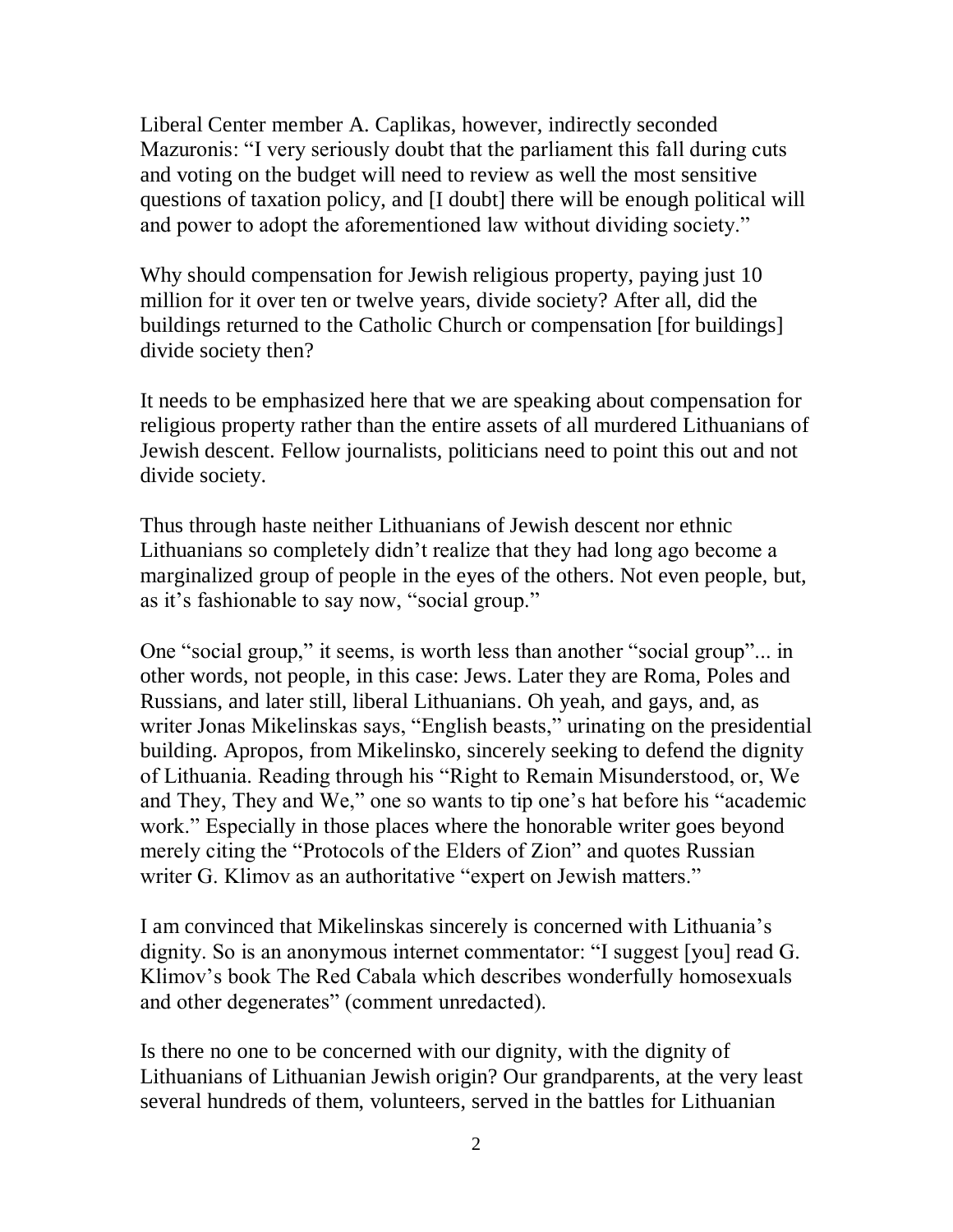Liberal Center member A. Caplikas, however, indirectly seconded Mazuronis: "I very seriously doubt that the parliament this fall during cuts and voting on the budget will need to review as well the most sensitive questions of taxation policy, and [I doubt] there will be enough political will and power to adopt the aforementioned law without dividing society."

Why should compensation for Jewish religious property, paying just 10 million for it over ten or twelve years, divide society? After all, did the buildings returned to the Catholic Church or compensation [for buildings] divide society then?

It needs to be emphasized here that we are speaking about compensation for religious property rather than the entire assets of all murdered Lithuanians of Jewish descent. Fellow journalists, politicians need to point this out and not divide society.

Thus through haste neither Lithuanians of Jewish descent nor ethnic Lithuanians so completely didn't realize that they had long ago become a marginalized group of people in the eyes of the others. Not even people, but, as it's fashionable to say now, "social group."

One "social group," it seems, is worth less than another "social group"... in other words, not people, in this case: Jews. Later they are Roma, Poles and Russians, and later still, liberal Lithuanians. Oh yeah, and gays, and, as writer Jonas Mikelinskas says, "English beasts," urinating on the presidential building. Apropos, from Mikelinsko, sincerely seeking to defend the dignity of Lithuania. Reading through his "Right to Remain Misunderstood, or, We and They, They and We," one so wants to tip one's hat before his "academic work." Especially in those places where the honorable writer goes beyond merely citing the "Protocols of the Elders of Zion" and quotes Russian writer G. Klimov as an authoritative "expert on Jewish matters."

I am convinced that Mikelinskas sincerely is concerned with Lithuania's dignity. So is an anonymous internet commentator: "I suggest [you] read G. Klimov's book The Red Cabala which describes wonderfully homosexuals and other degenerates" (comment unredacted).

Is there no one to be concerned with our dignity, with the dignity of Lithuanians of Lithuanian Jewish origin? Our grandparents, at the very least several hundreds of them, volunteers, served in the battles for Lithuanian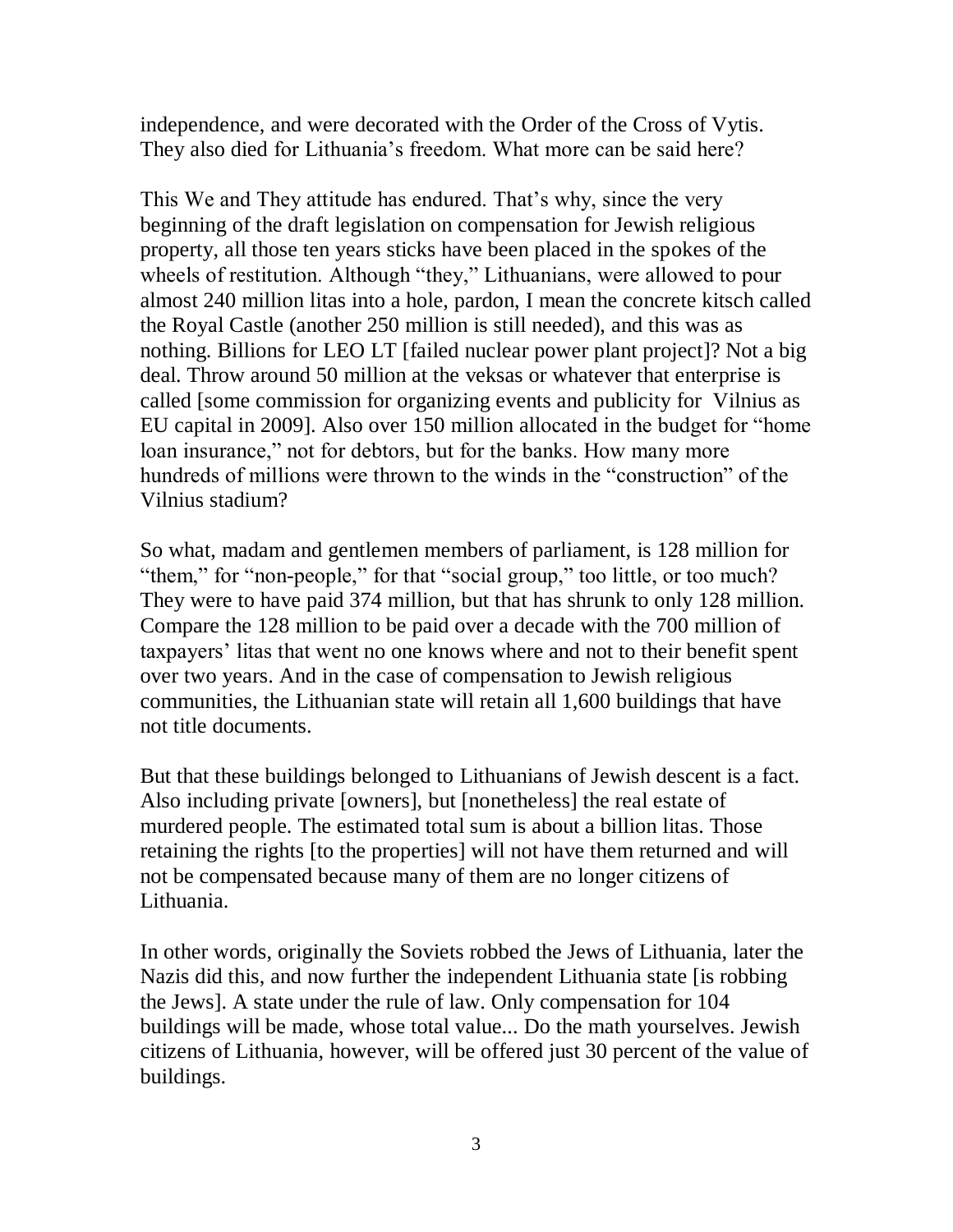independence, and were decorated with the Order of the Cross of Vytis. They also died for Lithuania's freedom. What more can be said here?

This We and They attitude has endured. That's why, since the very beginning of the draft legislation on compensation for Jewish religious property, all those ten years sticks have been placed in the spokes of the wheels of restitution. Although "they," Lithuanians, were allowed to pour almost 240 million litas into a hole, pardon, I mean the concrete kitsch called the Royal Castle (another 250 million is still needed), and this was as nothing. Billions for LEO LT [failed nuclear power plant project]? Not a big deal. Throw around 50 million at the veksas or whatever that enterprise is called [some commission for organizing events and publicity for Vilnius as EU capital in 2009]. Also over 150 million allocated in the budget for "home loan insurance," not for debtors, but for the banks. How many more hundreds of millions were thrown to the winds in the "construction" of the Vilnius stadium?

So what, madam and gentlemen members of parliament, is 128 million for "them," for "non-people," for that "social group," too little, or too much? They were to have paid 374 million, but that has shrunk to only 128 million. Compare the 128 million to be paid over a decade with the 700 million of taxpayers' litas that went no one knows where and not to their benefit spent over two years. And in the case of compensation to Jewish religious communities, the Lithuanian state will retain all 1,600 buildings that have not title documents.

But that these buildings belonged to Lithuanians of Jewish descent is a fact. Also including private [owners], but [nonetheless] the real estate of murdered people. The estimated total sum is about a billion litas. Those retaining the rights [to the properties] will not have them returned and will not be compensated because many of them are no longer citizens of Lithuania.

In other words, originally the Soviets robbed the Jews of Lithuania, later the Nazis did this, and now further the independent Lithuania state [is robbing the Jews]. A state under the rule of law. Only compensation for 104 buildings will be made, whose total value... Do the math yourselves. Jewish citizens of Lithuania, however, will be offered just 30 percent of the value of buildings.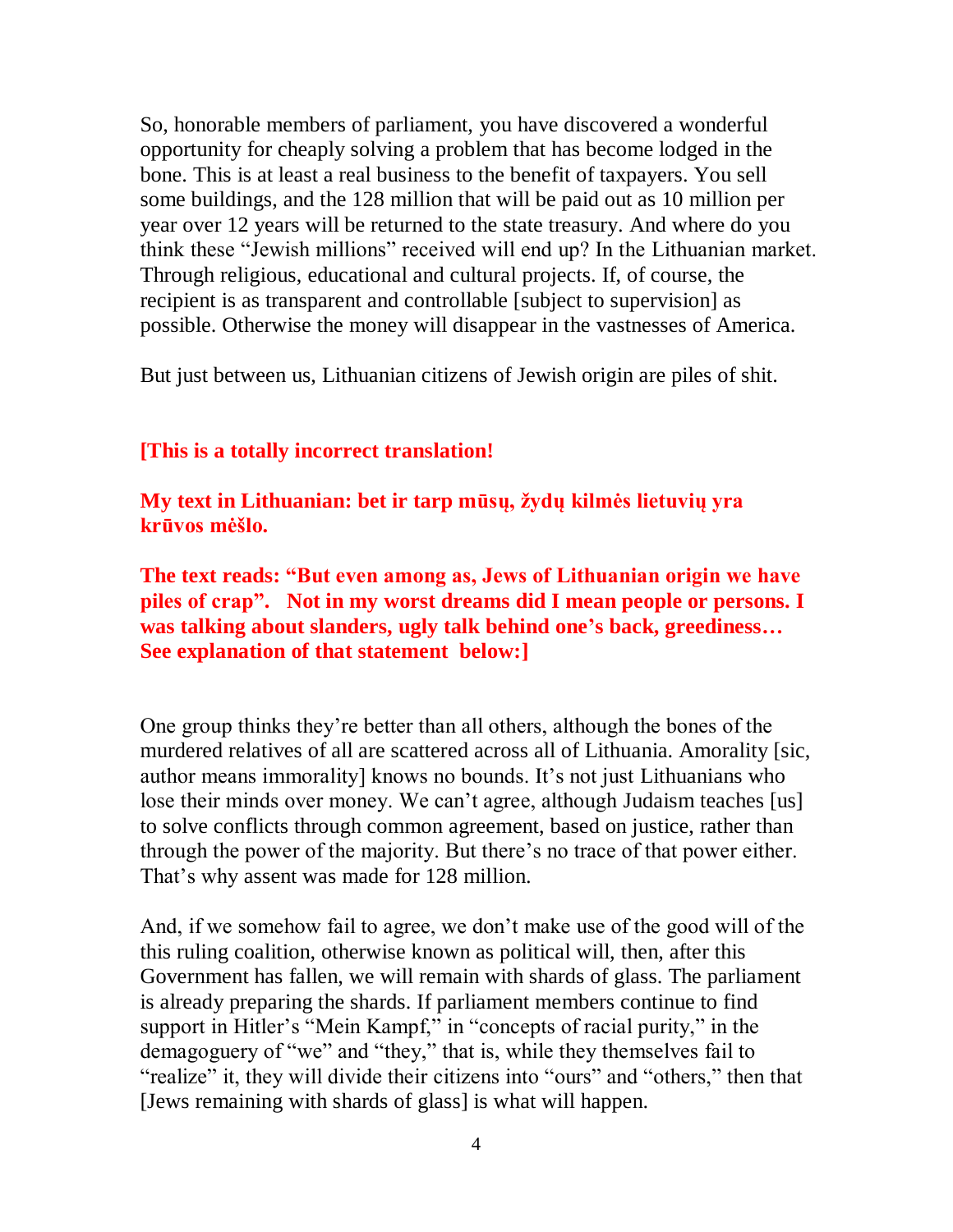So, honorable members of parliament, you have discovered a wonderful opportunity for cheaply solving a problem that has become lodged in the bone. This is at least a real business to the benefit of taxpayers. You sell some buildings, and the 128 million that will be paid out as 10 million per year over 12 years will be returned to the state treasury. And where do you think these "Jewish millions" received will end up? In the Lithuanian market. Through religious, educational and cultural projects. If, of course, the recipient is as transparent and controllable [subject to supervision] as possible. Otherwise the money will disappear in the vastnesses of America.

But just between us, Lithuanian citizens of Jewish origin are piles of shit.

## **[This is a totally incorrect translation!**

**My text in Lithuanian: bet ir tarp mūsų, žydų kilmės lietuvių yra krūvos mėšlo.** 

**The text reads: "But even among as, Jews of Lithuanian origin we have piles of crap". Not in my worst dreams did I mean people or persons. I was talking about slanders, ugly talk behind one's back, greediness… See explanation of that statement below:]**

One group thinks they're better than all others, although the bones of the murdered relatives of all are scattered across all of Lithuania. Amorality [sic, author means immorality] knows no bounds. It's not just Lithuanians who lose their minds over money. We can't agree, although Judaism teaches [us] to solve conflicts through common agreement, based on justice, rather than through the power of the majority. But there's no trace of that power either. That's why assent was made for 128 million.

And, if we somehow fail to agree, we don't make use of the good will of the this ruling coalition, otherwise known as political will, then, after this Government has fallen, we will remain with shards of glass. The parliament is already preparing the shards. If parliament members continue to find support in Hitler's "Mein Kampf," in "concepts of racial purity," in the demagoguery of "we" and "they," that is, while they themselves fail to "realize" it, they will divide their citizens into "ours" and "others," then that [Jews remaining with shards of glass] is what will happen.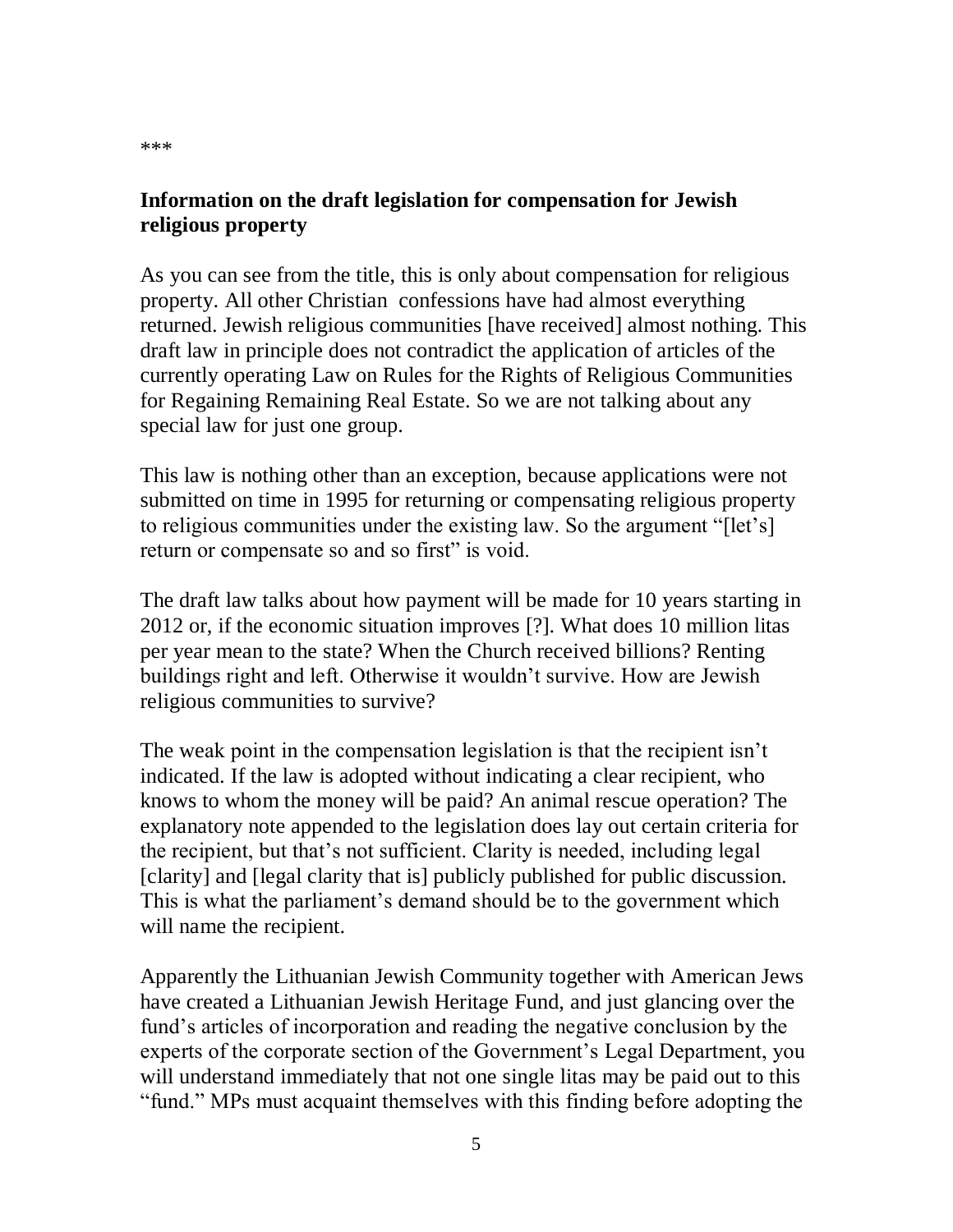## **Information on the draft legislation for compensation for Jewish religious property**

As you can see from the title, this is only about compensation for religious property. All other Christian confessions have had almost everything returned. Jewish religious communities [have received] almost nothing. This draft law in principle does not contradict the application of articles of the currently operating Law on Rules for the Rights of Religious Communities for Regaining Remaining Real Estate. So we are not talking about any special law for just one group.

This law is nothing other than an exception, because applications were not submitted on time in 1995 for returning or compensating religious property to religious communities under the existing law. So the argument "[let's] return or compensate so and so first" is void.

The draft law talks about how payment will be made for 10 years starting in 2012 or, if the economic situation improves [?]. What does 10 million litas per year mean to the state? When the Church received billions? Renting buildings right and left. Otherwise it wouldn't survive. How are Jewish religious communities to survive?

The weak point in the compensation legislation is that the recipient isn't indicated. If the law is adopted without indicating a clear recipient, who knows to whom the money will be paid? An animal rescue operation? The explanatory note appended to the legislation does lay out certain criteria for the recipient, but that's not sufficient. Clarity is needed, including legal [clarity] and [legal clarity that is] publicly published for public discussion. This is what the parliament's demand should be to the government which will name the recipient.

Apparently the Lithuanian Jewish Community together with American Jews have created a Lithuanian Jewish Heritage Fund, and just glancing over the fund's articles of incorporation and reading the negative conclusion by the experts of the corporate section of the Government's Legal Department, you will understand immediately that not one single litas may be paid out to this "fund." MPs must acquaint themselves with this finding before adopting the

\*\*\*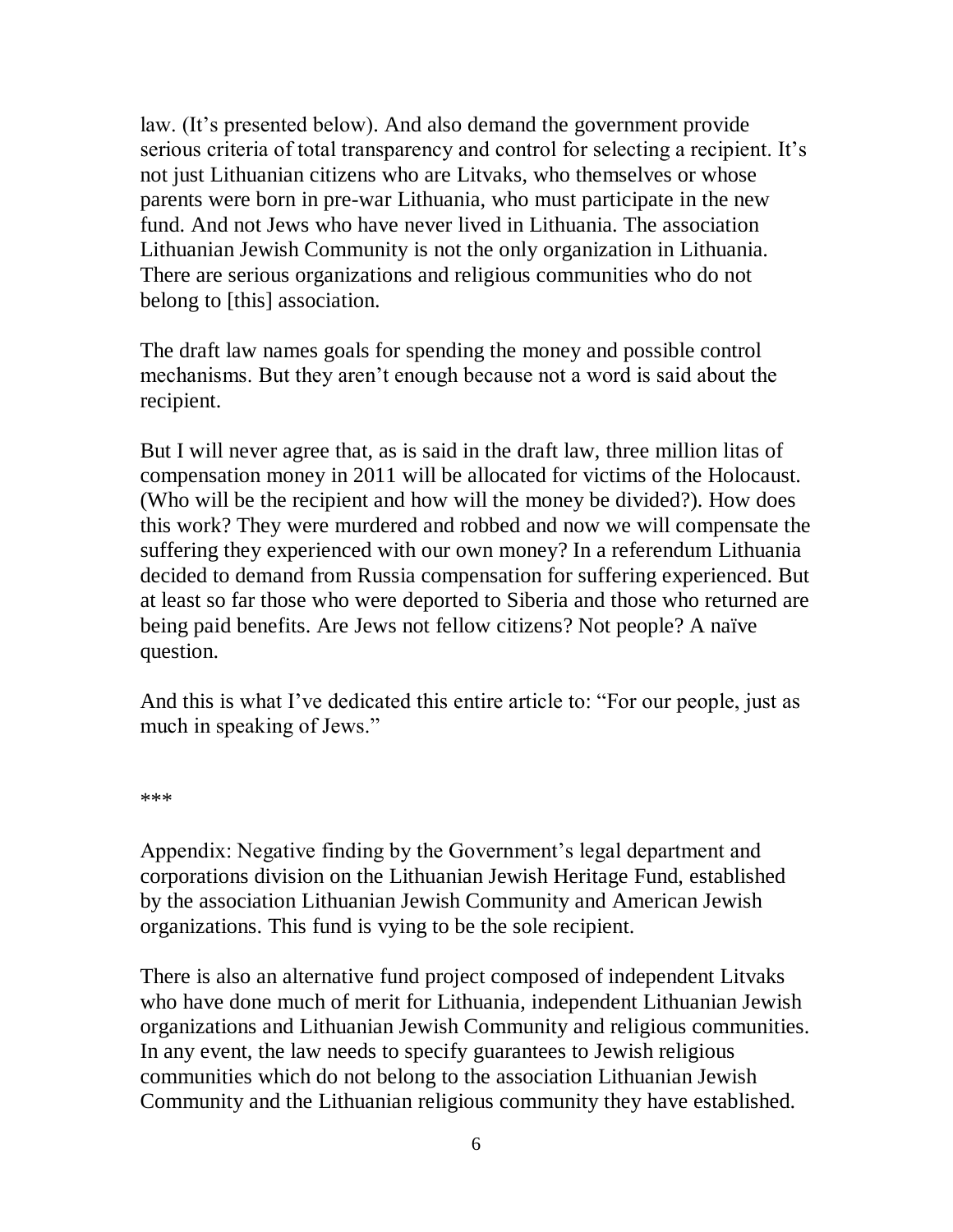law. (It's presented below). And also demand the government provide serious criteria of total transparency and control for selecting a recipient. It's not just Lithuanian citizens who are Litvaks, who themselves or whose parents were born in pre-war Lithuania, who must participate in the new fund. And not Jews who have never lived in Lithuania. The association Lithuanian Jewish Community is not the only organization in Lithuania. There are serious organizations and religious communities who do not belong to [this] association.

The draft law names goals for spending the money and possible control mechanisms. But they aren't enough because not a word is said about the recipient.

But I will never agree that, as is said in the draft law, three million litas of compensation money in 2011 will be allocated for victims of the Holocaust. (Who will be the recipient and how will the money be divided?). How does this work? They were murdered and robbed and now we will compensate the suffering they experienced with our own money? In a referendum Lithuania decided to demand from Russia compensation for suffering experienced. But at least so far those who were deported to Siberia and those who returned are being paid benefits. Are Jews not fellow citizens? Not people? A naïve question.

And this is what I've dedicated this entire article to: "For our people, just as much in speaking of Jews."

\*\*\*

Appendix: Negative finding by the Government's legal department and corporations division on the Lithuanian Jewish Heritage Fund, established by the association Lithuanian Jewish Community and American Jewish organizations. This fund is vying to be the sole recipient.

There is also an alternative fund project composed of independent Litvaks who have done much of merit for Lithuania, independent Lithuanian Jewish organizations and Lithuanian Jewish Community and religious communities. In any event, the law needs to specify guarantees to Jewish religious communities which do not belong to the association Lithuanian Jewish Community and the Lithuanian religious community they have established.